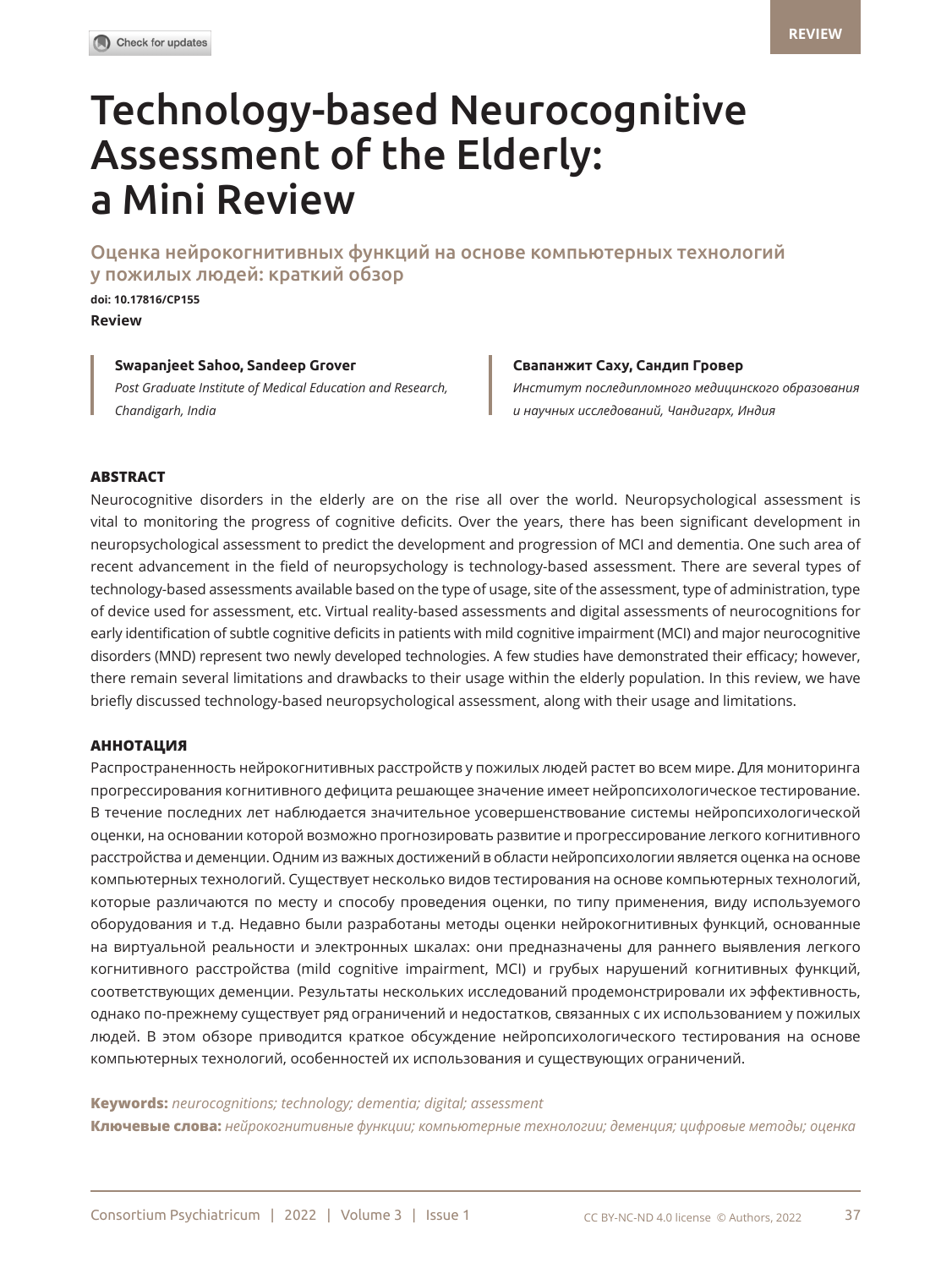# Technology-based Neurocognitive Assessment of the Elderly: a Mini Review

Оценка нейрокогнитивных функций на основе компьютерных технологий у пожилых людей: краткий обзор

**doi[: 10.17816/CP155](DOI: https://doi.org/10.17816/CP99 ) Review** 

# **Swapanjeet Sahoo, Sandeep Grover Свапанжит Саху, Сандип Гровер**

*Post Graduate Institute of Medical Education and Research, Chandigarh, India*

*Институт последипломного медицинского образования и научных исследований, Чандигарх, Индия*

#### **ABSTRACT**

Neurocognitive disorders in the elderly are on the rise all over the world. Neuropsychological assessment is vital to monitoring the progress of cognitive deficits. Over the years, there has been significant development in neuropsychological assessment to predict the development and progression of MCI and dementia. One such area of recent advancement in the field of neuropsychology is technology-based assessment. There are several types of technology-based assessments available based on the type of usage, site of the assessment, type of administration, type of device used for assessment, etc. Virtual reality-based assessments and digital assessments of neurocognitions for early identification of subtle cognitive deficits in patients with mild cognitive impairment (MCI) and major neurocognitive disorders (MND) represent two newly developed technologies. A few studies have demonstrated their efficacy; however, there remain several limitations and drawbacks to their usage within the elderly population. In this review, we have briefly discussed technology-based neuropsychological assessment, along with their usage and limitations.

# **АННОТАЦИЯ**

Распространенность нейрокогнитивных расстройств у пожилых людей растет во всем мире. Для мониторинга прогрессирования когнитивного дефицита решающее значение имеет нейропсихологическое тестирование. В течение последних лет наблюдается значительное усовершенствование системы нейропсихологической оценки, на основании которой возможно прогнозировать развитие и прогрессирование легкого когнитивного расстройства и деменции. Одним из важных достижений в области нейропсихологии является оценка на основе компьютерных технологий. Существует несколько видов тестирования на основе компьютерных технологий, которые различаются по месту и способу проведения оценки, по типу применения, виду используемого оборудования и т.д. Недавно были разработаны методы оценки нейрокогнитивных функций, основанные на виртуальной реальности и электронных шкалах: они предназначены для раннего выявления легкого когнитивного расстройства (mild cognitive impairment, MCI) и грубых нарушений когнитивных функций, соответствующих деменции. Результаты нескольких исследований продемонстрировали их эффективность, однако по-прежнему существует ряд ограничений и недостатков, связанных с их использованием у пожилых людей. В этом обзоре приводится краткое обсуждение нейропсихологического тестирования на основе компьютерных технологий, особенностей их использования и существующих ограничений.

#### **Keywords:** *neurocognitions; technology; dementia; digital; assessment*

**Ключевые слова:** *нейрокогнитивные функции; компьютерные технологии; деменция; цифровые методы; оценка*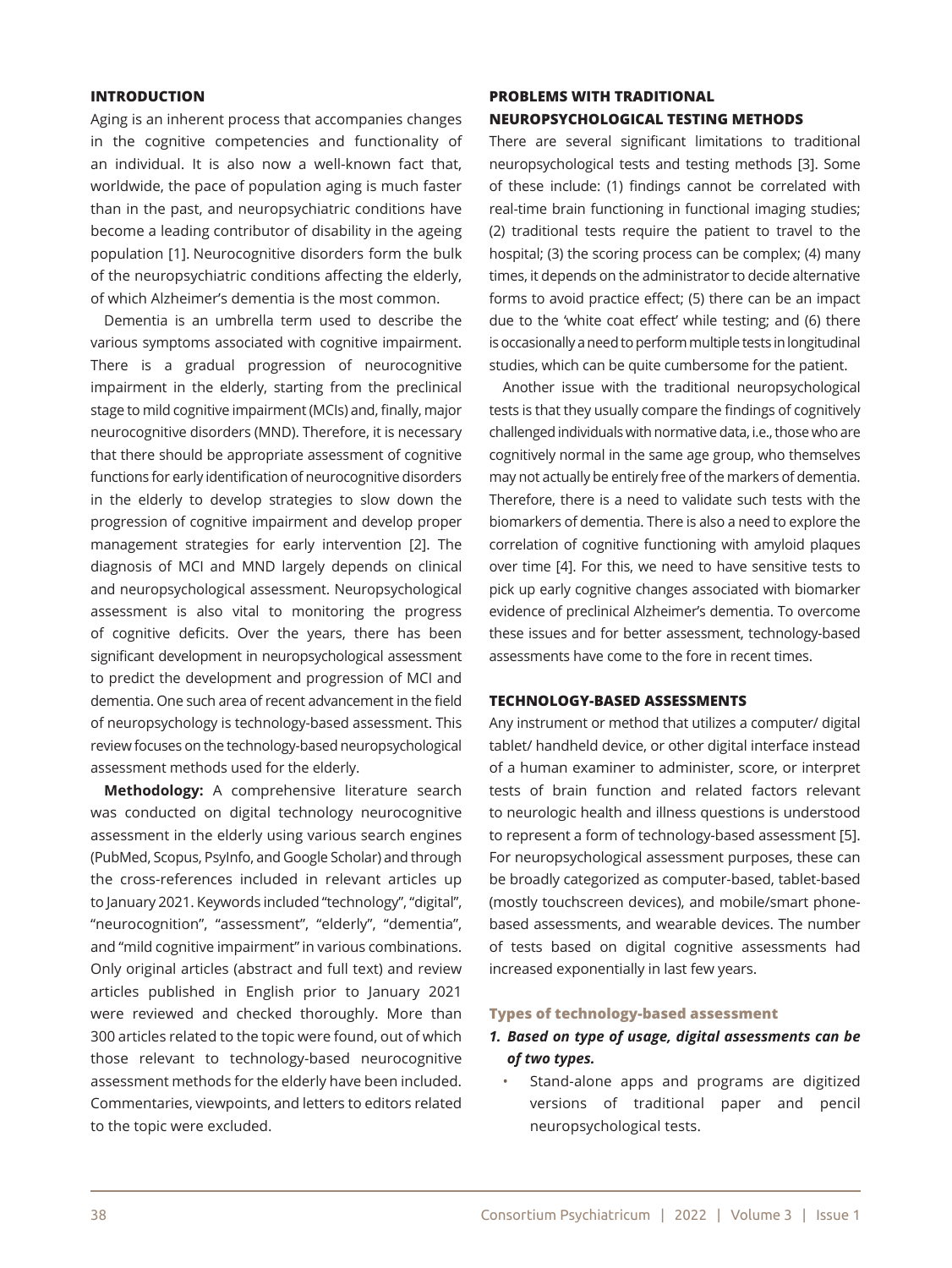#### **INTRODUCTION**

Aging is an inherent process that accompanies changes in the cognitive competencies and functionality of an individual. It is also now a well-known fact that, worldwide, the pace of population aging is much faster than in the past, and neuropsychiatric conditions have become a leading contributor of disability in the ageing population [1]. Neurocognitive disorders form the bulk of the neuropsychiatric conditions affecting the elderly, of which Alzheimer's dementia is the most common.

Dementia is an umbrella term used to describe the various symptoms associated with cognitive impairment. There is a gradual progression of neurocognitive impairment in the elderly, starting from the preclinical stage to mild cognitive impairment (MCIs) and, finally, major neurocognitive disorders (MND). Therefore, it is necessary that there should be appropriate assessment of cognitive functions for early identification of neurocognitive disorders in the elderly to develop strategies to slow down the progression of cognitive impairment and develop proper management strategies for early intervention [2]. The diagnosis of MCI and MND largely depends on clinical and neuropsychological assessment. Neuropsychological assessment is also vital to monitoring the progress of cognitive deficits. Over the years, there has been significant development in neuropsychological assessment to predict the development and progression of MCI and dementia. One such area of recent advancement in the field of neuropsychology is technology-based assessment. This review focuses on the technology-based neuropsychological assessment methods used for the elderly.

**Methodology:** A comprehensive literature search was conducted on digital technology neurocognitive assessment in the elderly using various search engines (PubMed, Scopus, PsyInfo, and Google Scholar) and through the cross-references included in relevant articles up to January 2021. Keywords included "technology", "digital", "neurocognition", "assessment", "elderly", "dementia", and "mild cognitive impairment" in various combinations. Only original articles (abstract and full text) and review articles published in English prior to January 2021 were reviewed and checked thoroughly. More than 300 articles related to the topic were found, out of which those relevant to technology-based neurocognitive assessment methods for the elderly have been included. Commentaries, viewpoints, and letters to editors related to the topic were excluded.

# **PROBLEMS WITH TRADITIONAL NEUROPSYCHOLOGICAL TESTING METHODS**

There are several significant limitations to traditional neuropsychological tests and testing methods [3]. Some of these include: (1) findings cannot be correlated with real-time brain functioning in functional imaging studies; (2) traditional tests require the patient to travel to the hospital; (3) the scoring process can be complex; (4) many times, it depends on the administrator to decide alternative forms to avoid practice effect; (5) there can be an impact due to the 'white coat effect' while testing; and (6) there is occasionally a need to perform multiple tests in longitudinal studies, which can be quite cumbersome for the patient.

Another issue with the traditional neuropsychological tests is that they usually compare the findings of cognitively challenged individuals with normative data, i.e., those who are cognitively normal in the same age group, who themselves may not actually be entirely free of the markers of dementia. Therefore, there is a need to validate such tests with the biomarkers of dementia. There is also a need to explore the correlation of cognitive functioning with amyloid plaques over time [4]. For this, we need to have sensitive tests to pick up early cognitive changes associated with biomarker evidence of preclinical Alzheimer's dementia. To overcome these issues and for better assessment, technology-based assessments have come to the fore in recent times.

# **TECHNOLOGY-BASED ASSESSMENTS**

Any instrument or method that utilizes a computer/ digital tablet/ handheld device, or other digital interface instead of a human examiner to administer, score, or interpret tests of brain function and related factors relevant to neurologic health and illness questions is understood to represent a form of technology-based assessment [5]. For neuropsychological assessment purposes, these can be broadly categorized as computer-based, tablet-based (mostly touchscreen devices), and mobile/smart phonebased assessments, and wearable devices. The number of tests based on digital cognitive assessments had increased exponentially in last few years.

#### **Types of technology-based assessment**

# *1. Based on type of usage, digital assessments can be of two types.*

Stand-alone apps and programs are digitized versions of traditional paper and pencil neuropsychological tests.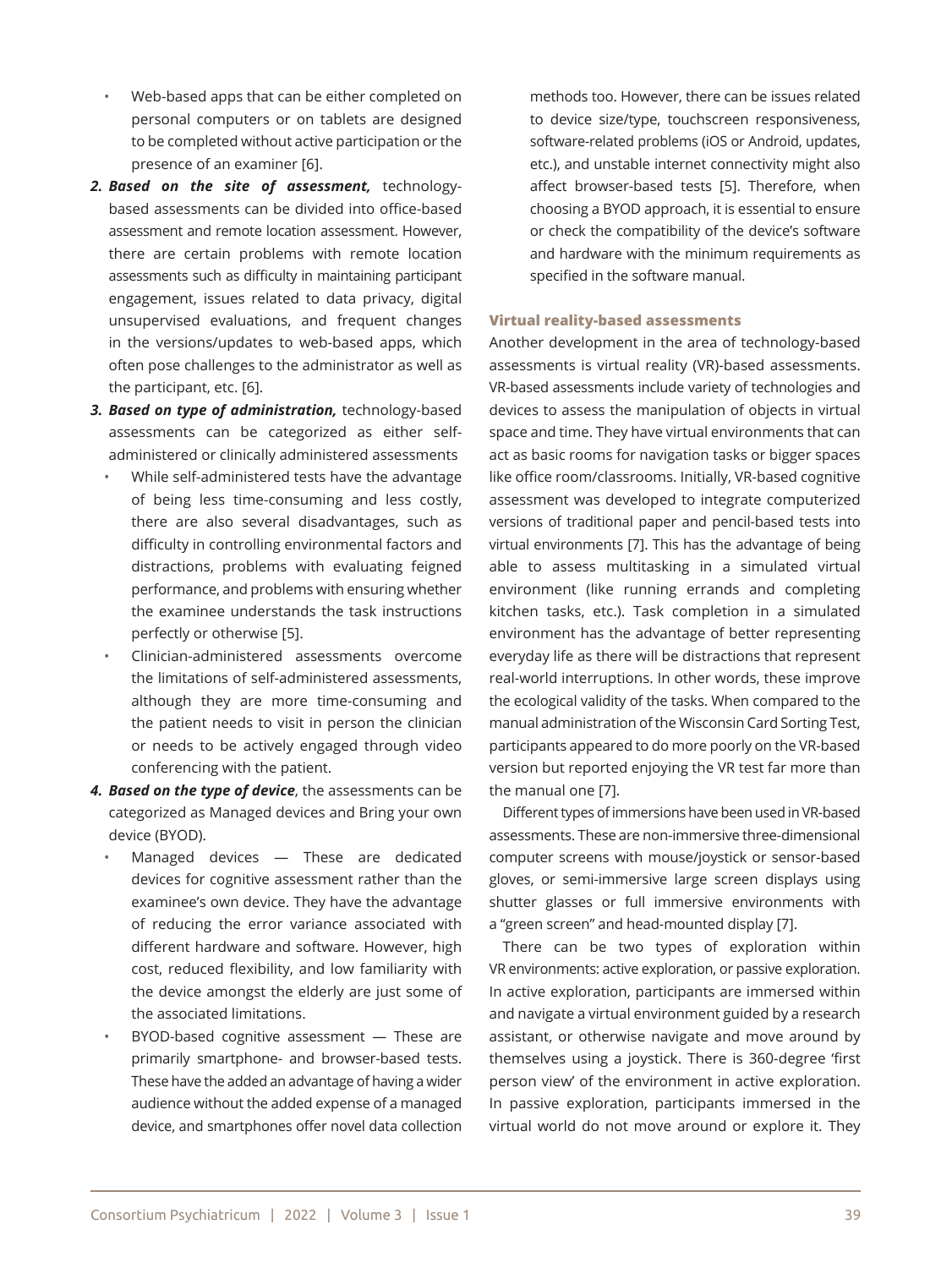- Web-based apps that can be either completed on personal computers or on tablets are designed to be completed without active participation or the presence of an examiner [6].
- *2. Based on the site of assessment,* technologybased assessments can be divided into office-based assessment and remote location assessment. However, there are certain problems with remote location assessments such as difficulty in maintaining participant engagement, issues related to data privacy, digital unsupervised evaluations, and frequent changes in the versions/updates to web-based apps, which often pose challenges to the administrator as well as the participant, etc. [6].
- *3. Based on type of administration,* technology-based assessments can be categorized as either selfadministered or clinically administered assessments
	- While self-administered tests have the advantage of being less time-consuming and less costly, there are also several disadvantages, such as difficulty in controlling environmental factors and distractions, problems with evaluating feigned performance, and problems with ensuring whether the examinee understands the task instructions perfectly or otherwise [5].
	- Clinician-administered assessments overcome the limitations of self-administered assessments, although they are more time-consuming and the patient needs to visit in person the clinician or needs to be actively engaged through video conferencing with the patient.
- *4. Based on the type of device*, the assessments can be categorized as Managed devices and Bring your own device (BYOD).
	- Managed devices These are dedicated devices for cognitive assessment rather than the examinee's own device. They have the advantage of reducing the error variance associated with different hardware and software. However, high cost, reduced flexibility, and low familiarity with the device amongst the elderly are just some of the associated limitations.
	- BYOD-based cognitive assessment These are primarily smartphone- and browser-based tests. These have the added an advantage of having a wider audience without the added expense of a managed device, and smartphones offer novel data collection

methods too. However, there can be issues related to device size/type, touchscreen responsiveness, software-related problems (iOS or Android, updates, etc.), and unstable internet connectivity might also affect browser-based tests [5]. Therefore, when choosing a BYOD approach, it is essential to ensure or check the compatibility of the device's software and hardware with the minimum requirements as specified in the software manual.

#### **Virtual reality-based assessments**

Another development in the area of technology-based assessments is virtual reality (VR)-based assessments. VR-based assessments include variety of technologies and devices to assess the manipulation of objects in virtual space and time. They have virtual environments that can act as basic rooms for navigation tasks or bigger spaces like office room/classrooms. Initially, VR-based cognitive assessment was developed to integrate computerized versions of traditional paper and pencil-based tests into virtual environments [7]. This has the advantage of being able to assess multitasking in a simulated virtual environment (like running errands and completing kitchen tasks, etc.). Task completion in a simulated environment has the advantage of better representing everyday life as there will be distractions that represent real-world interruptions. In other words, these improve the ecological validity of the tasks. When compared to the manual administration of the Wisconsin Card Sorting Test, participants appeared to do more poorly on the VR-based version but reported enjoying the VR test far more than the manual one [7].

Different types of immersions have been used in VR-based assessments. These are non-immersive three-dimensional computer screens with mouse/joystick or sensor-based gloves, or semi-immersive large screen displays using shutter glasses or full immersive environments with a "green screen" and head-mounted display [7].

There can be two types of exploration within VR environments: active exploration, or passive exploration. In active exploration, participants are immersed within and navigate a virtual environment guided by a research assistant, or otherwise navigate and move around by themselves using a joystick. There is 360-degree 'first person view' of the environment in active exploration. In passive exploration, participants immersed in the virtual world do not move around or explore it. They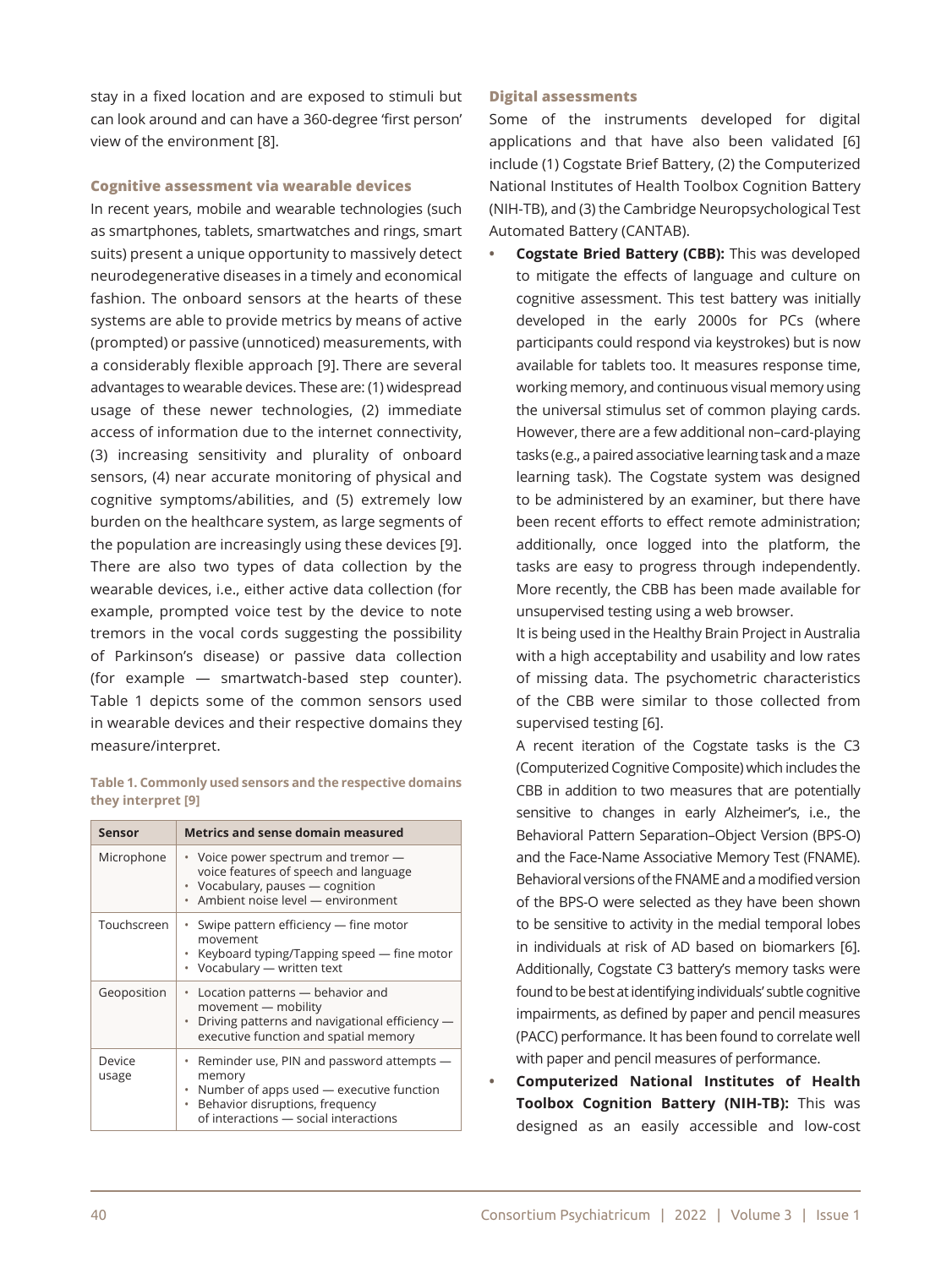stay in a fixed location and are exposed to stimuli but can look around and can have a 360-degree 'first person' view of the environment [8].

#### **Cognitive assessment via wearable devices**

In recent years, mobile and wearable technologies (such as smartphones, tablets, smartwatches and rings, smart suits) present a unique opportunity to massively detect neurodegenerative diseases in a timely and economical fashion. The onboard sensors at the hearts of these systems are able to provide metrics by means of active (prompted) or passive (unnoticed) measurements, with a considerably flexible approach [9]. There are several advantages to wearable devices. These are: (1) widespread usage of these newer technologies, (2) immediate access of information due to the internet connectivity, (3) increasing sensitivity and plurality of onboard sensors, (4) near accurate monitoring of physical and cognitive symptoms/abilities, and (5) extremely low burden on the healthcare system, as large segments of the population are increasingly using these devices [9]. There are also two types of data collection by the wearable devices, i.e., either active data collection (for example, prompted voice test by the device to note tremors in the vocal cords suggesting the possibility of Parkinson's disease) or passive data collection (for example — smartwatch-based step counter). Table 1 depicts some of the common sensors used in wearable devices and their respective domains they measure/interpret.

#### **Table 1. Commonly used sensors and the respective domains they interpret [9]**

| <b>Sensor</b>   | <b>Metrics and sense domain measured</b>                                                                                                                                                        |
|-----------------|-------------------------------------------------------------------------------------------------------------------------------------------------------------------------------------------------|
| Microphone      | • Voice power spectrum and tremor —<br>voice features of speech and language<br>• Vocabulary, pauses - cognition<br>· Ambient noise level - environment                                         |
| Touchscreen     | • Swipe pattern efficiency — fine motor<br>movement<br>• Keyboard typing/Tapping speed — fine motor<br>• Vocabulary - written text                                                              |
| Geoposition     | Location patterns - behavior and<br>٠<br>movement - mobility<br>• Driving patterns and navigational efficiency —<br>executive function and spatial memory                                       |
| Device<br>usage | • Reminder use, PIN and password attempts —<br>memory<br>Number of apps used - executive function<br>$\bullet$<br>Behavior disruptions, frequency<br>٠<br>of interactions - social interactions |

#### **Digital assessments**

Some of the instruments developed for digital applications and that have also been validated [6] include (1) Cogstate Brief Battery, (2) the Computerized National Institutes of Health Toolbox Cognition Battery (NIH-TB), and (3) the Cambridge Neuropsychological Test Automated Battery (CANTAB).

**Cogstate Bried Battery (CBB):** This was developed to mitigate the effects of language and culture on cognitive assessment. This test battery was initially developed in the early 2000s for PCs (where participants could respond via keystrokes) but is now available for tablets too. It measures response time, working memory, and continuous visual memory using the universal stimulus set of common playing cards. However, there are a few additional non–card-playing tasks (e.g., a paired associative learning task and a maze learning task). The Cogstate system was designed to be administered by an examiner, but there have been recent efforts to effect remote administration; additionally, once logged into the platform, the tasks are easy to progress through independently. More recently, the CBB has been made available for unsupervised testing using a web browser.

It is being used in the Healthy Brain Project in Australia with a high acceptability and usability and low rates of missing data. The psychometric characteristics of the CBB were similar to those collected from supervised testing [6].

A recent iteration of the Cogstate tasks is the C3 (Computerized Cognitive Composite) which includes the CBB in addition to two measures that are potentially sensitive to changes in early Alzheimer's, i.e., the Behavioral Pattern Separation–Object Version (BPS-O) and the Face-Name Associative Memory Test (FNAME). Behavioral versions of the FNAME and a modified version of the BPS-O were selected as they have been shown to be sensitive to activity in the medial temporal lobes in individuals at risk of AD based on biomarkers [6]. Additionally, Cogstate C3 battery's memory tasks were found to be best at identifying individuals' subtle cognitive impairments, as defined by paper and pencil measures (PACC) performance. It has been found to correlate well with paper and pencil measures of performance.

**Computerized National Institutes of Health Toolbox Cognition Battery (NIH-TB):** This was designed as an easily accessible and low-cost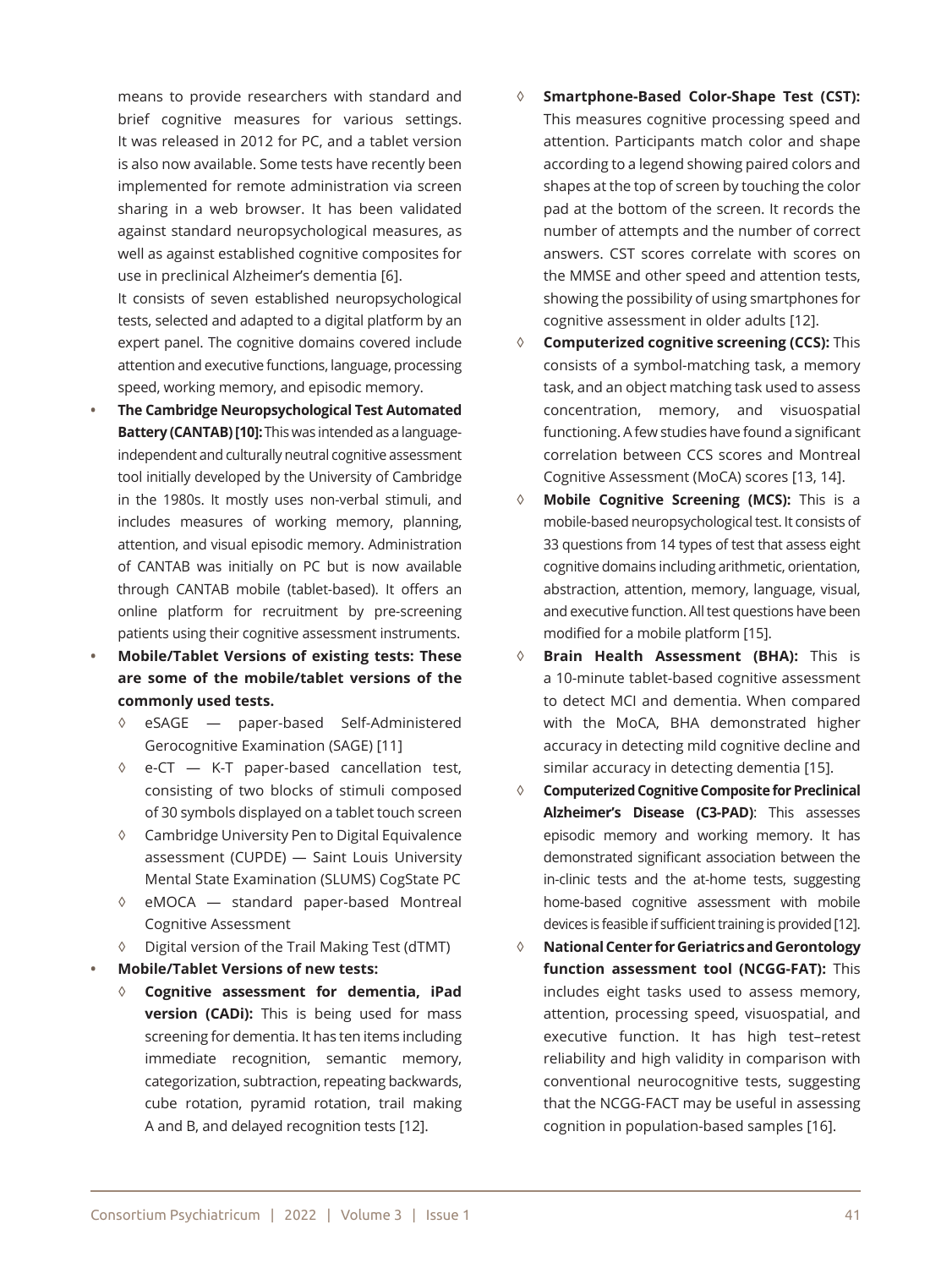means to provide researchers with standard and brief cognitive measures for various settings. It was released in 2012 for PC, and a tablet version is also now available. Some tests have recently been implemented for remote administration via screen sharing in a web browser. It has been validated against standard neuropsychological measures, as well as against established cognitive composites for use in preclinical Alzheimer's dementia [6].

It consists of seven established neuropsychological tests, selected and adapted to a digital platform by an expert panel. The cognitive domains covered include attention and executive functions, language, processing speed, working memory, and episodic memory.

- **The Cambridge Neuropsychological Test Automated Battery (CANTAB) [10]:**This was intended as a languageindependent and culturally neutral cognitive assessment tool initially developed by the University of Cambridge in the 1980s. It mostly uses non-verbal stimuli, and includes measures of working memory, planning, attention, and visual episodic memory. Administration of CANTAB was initially on PC but is now available through CANTAB mobile (tablet-based). It offers an online platform for recruitment by pre-screening patients using their cognitive assessment instruments.
- **• Mobile/Tablet Versions of existing tests: These are some of the mobile/tablet versions of the commonly used tests.**
	- ◊ eSAGE paper-based Self-Administered Gerocognitive Examination (SAGE) [11]
	- ◊ e-CT K-T paper-based cancellation test, consisting of two blocks of stimuli composed of 30 symbols displayed on a tablet touch screen
	- ◊ Cambridge University Pen to Digital Equivalence assessment (CUPDE) — Saint Louis University Mental State Examination (SLUMS) CogState PC
	- ◊ eMOCA standard paper-based Montreal Cognitive Assessment
	- Digital version of the Trail Making Test (dTMT)
- **• Mobile/Tablet Versions of new tests:** 
	- ◊ **Cognitive assessment for dementia, iPad version (CADi):** This is being used for mass screening for dementia. It has ten items including immediate recognition, semantic memory, categorization, subtraction, repeating backwards, cube rotation, pyramid rotation, trail making A and B, and delayed recognition tests [12].
- ◊ **Smartphone-Based Color-Shape Test (CST):** This measures cognitive processing speed and attention. Participants match color and shape according to a legend showing paired colors and shapes at the top of screen by touching the color pad at the bottom of the screen. It records the number of attempts and the number of correct answers. CST scores correlate with scores on the MMSE and other speed and attention tests, showing the possibility of using smartphones for cognitive assessment in older adults [12].
- ◊ **Computerized cognitive screening (CCS):** This consists of a symbol-matching task, a memory task, and an object matching task used to assess concentration, memory, and visuospatial functioning. A few studies have found a significant correlation between CCS scores and Montreal Cognitive Assessment (MoCA) scores [13, 14].
- ◊ **Mobile Cognitive Screening (MCS):** This is a mobile-based neuropsychological test. It consists of 33 questions from 14 types of test that assess eight cognitive domains including arithmetic, orientation, abstraction, attention, memory, language, visual, and executive function. All test questions have been modified for a mobile platform [15].
- ◊ **Brain Health Assessment (BHA):** This is a 10-minute tablet-based cognitive assessment to detect MCI and dementia. When compared with the MoCA, BHA demonstrated higher accuracy in detecting mild cognitive decline and similar accuracy in detecting dementia [15].
- ◊ **Computerized Cognitive Composite for Preclinical Alzheimer's Disease (C3-PAD)**: This assesses episodic memory and working memory. It has demonstrated significant association between the in-clinic tests and the at-home tests, suggesting home-based cognitive assessment with mobile devices is feasible if sufficient training is provided [12].
- ◊ **National Center for Geriatrics and Gerontology function assessment tool (NCGG-FAT):** This includes eight tasks used to assess memory, attention, processing speed, visuospatial, and executive function. It has high test–retest reliability and high validity in comparison with conventional neurocognitive tests, suggesting that the NCGG-FACT may be useful in assessing cognition in population-based samples [16].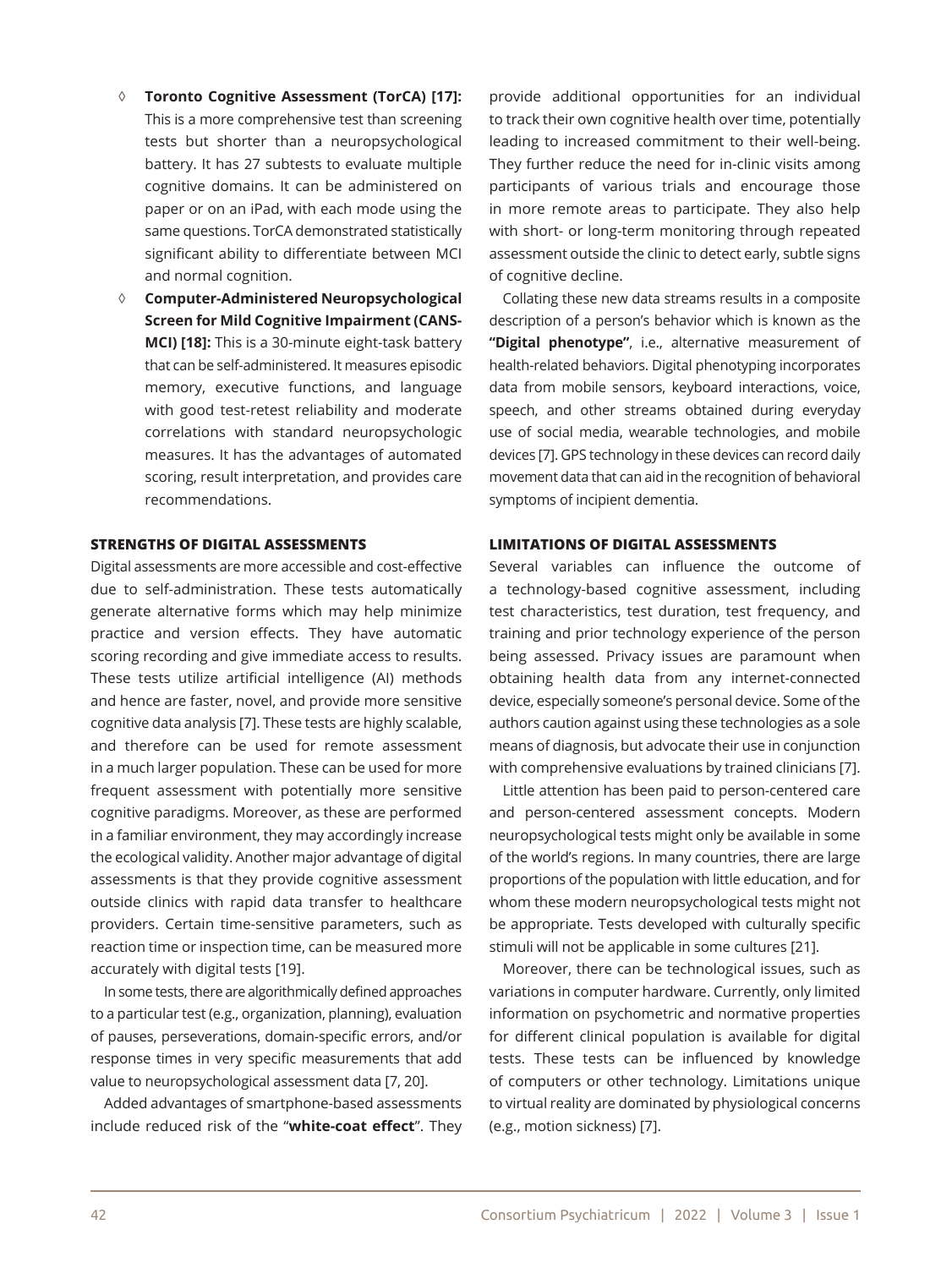- ◊ **Toronto Cognitive Assessment (TorCA) [17]:** This is a more comprehensive test than screening tests but shorter than a neuropsychological battery. It has 27 subtests to evaluate multiple cognitive domains. It can be administered on paper or on an iPad, with each mode using the same questions. TorCA demonstrated statistically significant ability to differentiate between MCI and normal cognition.
- ◊ **Computer-Administered Neuropsychological Screen for Mild Cognitive Impairment (CANS-MCI) [18]:** This is a 30-minute eight-task battery that can be self-administered. It measures episodic memory, executive functions, and language with good test-retest reliability and moderate correlations with standard neuropsychologic measures. It has the advantages of automated scoring, result interpretation, and provides care recommendations.

# **STRENGTHS OF DIGITAL ASSESSMENTS**

Digital assessments are more accessible and cost-effective due to self-administration. These tests automatically generate alternative forms which may help minimize practice and version effects. They have automatic scoring recording and give immediate access to results. These tests utilize artificial intelligence (AI) methods and hence are faster, novel, and provide more sensitive cognitive data analysis [7]. These tests are highly scalable, and therefore can be used for remote assessment in a much larger population. These can be used for more frequent assessment with potentially more sensitive cognitive paradigms. Moreover, as these are performed in a familiar environment, they may accordingly increase the ecological validity. Another major advantage of digital assessments is that they provide cognitive assessment outside clinics with rapid data transfer to healthcare providers. Certain time-sensitive parameters, such as reaction time or inspection time, can be measured more accurately with digital tests [19].

In some tests, there are algorithmically defined approaches to a particular test (e.g., organization, planning), evaluation of pauses, perseverations, domain-specific errors, and/or response times in very specific measurements that add value to neuropsychological assessment data [7, 20].

Added advantages of smartphone-based assessments include reduced risk of the "**white-coat effect**". They

provide additional opportunities for an individual to track their own cognitive health over time, potentially leading to increased commitment to their well-being. They further reduce the need for in-clinic visits among participants of various trials and encourage those in more remote areas to participate. They also help with short- or long-term monitoring through repeated assessment outside the clinic to detect early, subtle signs of cognitive decline.

Collating these new data streams results in a composite description of a person's behavior which is known as the **"Digital phenotype"**, i.e., alternative measurement of health-related behaviors. Digital phenotyping incorporates data from mobile sensors, keyboard interactions, voice, speech, and other streams obtained during everyday use of social media, wearable technologies, and mobile devices [7]. GPS technology in these devices can record daily movement data that can aid in the recognition of behavioral symptoms of incipient dementia.

#### **LIMITATIONS OF DIGITAL ASSESSMENTS**

Several variables can influence the outcome of a technology-based cognitive assessment, including test characteristics, test duration, test frequency, and training and prior technology experience of the person being assessed. Privacy issues are paramount when obtaining health data from any internet-connected device, especially someone's personal device. Some of the authors caution against using these technologies as a sole means of diagnosis, but advocate their use in conjunction with comprehensive evaluations by trained clinicians [7].

Little attention has been paid to person-centered care and person-centered assessment concepts. Modern neuropsychological tests might only be available in some of the world's regions. In many countries, there are large proportions of the population with little education, and for whom these modern neuropsychological tests might not be appropriate. Tests developed with culturally specific stimuli will not be applicable in some cultures [21].

Moreover, there can be technological issues, such as variations in computer hardware. Currently, only limited information on psychometric and normative properties for different clinical population is available for digital tests. These tests can be influenced by knowledge of computers or other technology. Limitations unique to virtual reality are dominated by physiological concerns (e.g., motion sickness) [7].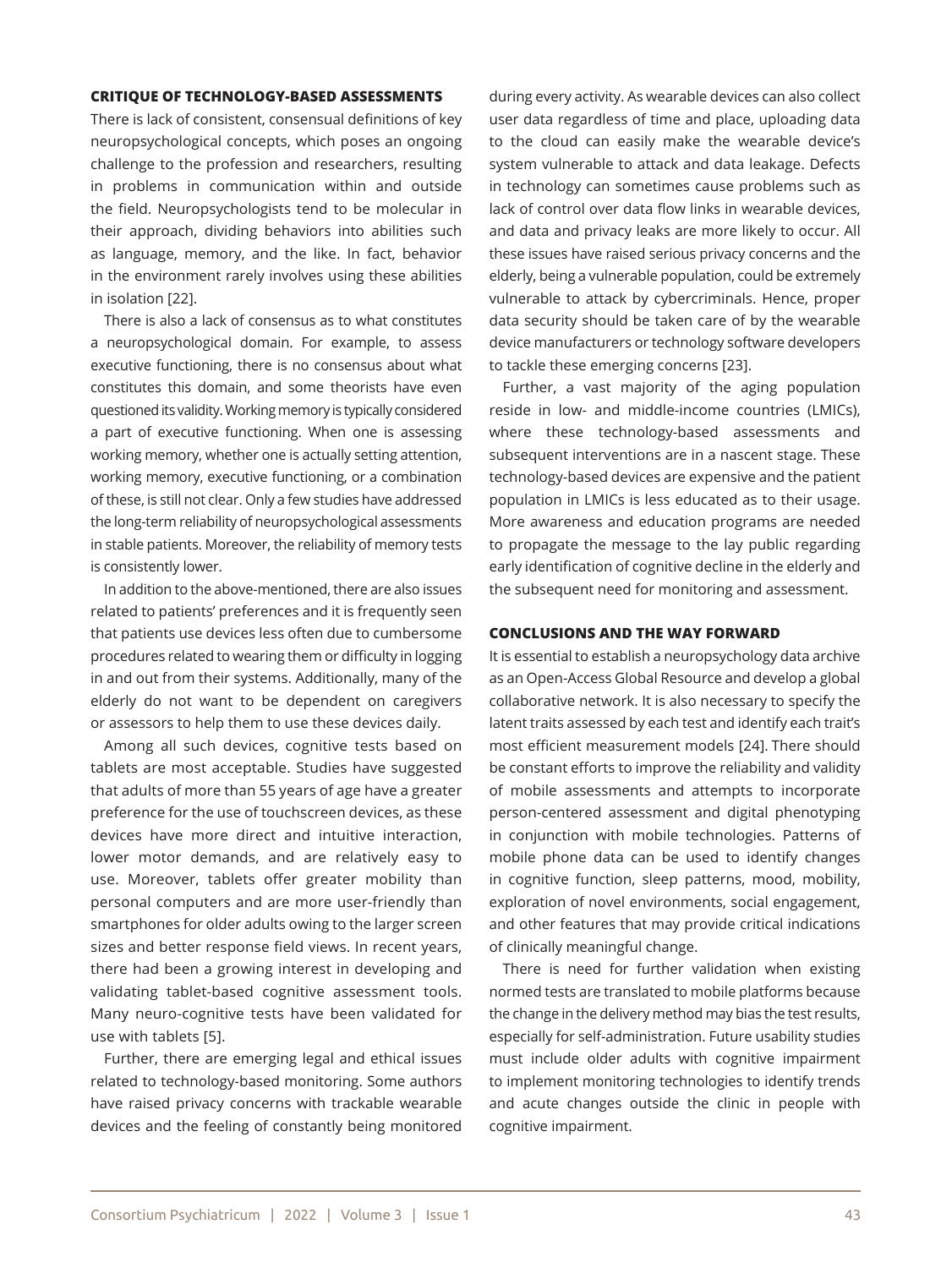## **CRITIQUE OF TECHNOLOGY-BASED ASSESSMENTS**

There is lack of consistent, consensual definitions of key neuropsychological concepts, which poses an ongoing challenge to the profession and researchers, resulting in problems in communication within and outside the field. Neuropsychologists tend to be molecular in their approach, dividing behaviors into abilities such as language, memory, and the like. In fact, behavior in the environment rarely involves using these abilities in isolation [22].

There is also a lack of consensus as to what constitutes a neuropsychological domain. For example, to assess executive functioning, there is no consensus about what constitutes this domain, and some theorists have even questioned its validity. Working memory is typically considered a part of executive functioning. When one is assessing working memory, whether one is actually setting attention, working memory, executive functioning, or a combination of these, is still not clear. Only a few studies have addressed the long-term reliability of neuropsychological assessments in stable patients. Moreover, the reliability of memory tests is consistently lower.

In addition to the above-mentioned, there are also issues related to patients' preferences and it is frequently seen that patients use devices less often due to cumbersome procedures related to wearing them or difficulty in logging in and out from their systems. Additionally, many of the elderly do not want to be dependent on caregivers or assessors to help them to use these devices daily.

Among all such devices, cognitive tests based on tablets are most acceptable. Studies have suggested that adults of more than 55 years of age have a greater preference for the use of touchscreen devices, as these devices have more direct and intuitive interaction, lower motor demands, and are relatively easy to use. Moreover, tablets offer greater mobility than personal computers and are more user-friendly than smartphones for older adults owing to the larger screen sizes and better response field views. In recent years, there had been a growing interest in developing and validating tablet-based cognitive assessment tools. Many neuro-cognitive tests have been validated for use with tablets [5].

Further, there are emerging legal and ethical issues related to technology-based monitoring. Some authors have raised privacy concerns with trackable wearable devices and the feeling of constantly being monitored

during every activity. As wearable devices can also collect user data regardless of time and place, uploading data to the cloud can easily make the wearable device's system vulnerable to attack and data leakage. Defects in technology can sometimes cause problems such as lack of control over data flow links in wearable devices, and data and privacy leaks are more likely to occur. All these issues have raised serious privacy concerns and the elderly, being a vulnerable population, could be extremely vulnerable to attack by cybercriminals. Hence, proper data security should be taken care of by the wearable device manufacturers or technology software developers to tackle these emerging concerns [23].

Further, a vast majority of the aging population reside in low- and middle-income countries (LMICs), where these technology-based assessments and subsequent interventions are in a nascent stage. These technology-based devices are expensive and the patient population in LMICs is less educated as to their usage. More awareness and education programs are needed to propagate the message to the lay public regarding early identification of cognitive decline in the elderly and the subsequent need for monitoring and assessment.

#### **CONCLUSIONS AND THE WAY FORWARD**

It is essential to establish a neuropsychology data archive as an Open-Access Global Resource and develop a global collaborative network. It is also necessary to specify the latent traits assessed by each test and identify each trait's most efficient measurement models [24]. There should be constant efforts to improve the reliability and validity of mobile assessments and attempts to incorporate person-centered assessment and digital phenotyping in conjunction with mobile technologies. Patterns of mobile phone data can be used to identify changes in cognitive function, sleep patterns, mood, mobility, exploration of novel environments, social engagement, and other features that may provide critical indications of clinically meaningful change.

There is need for further validation when existing normed tests are translated to mobile platforms because the change in the delivery method may bias the test results, especially for self-administration. Future usability studies must include older adults with cognitive impairment to implement monitoring technologies to identify trends and acute changes outside the clinic in people with cognitive impairment.